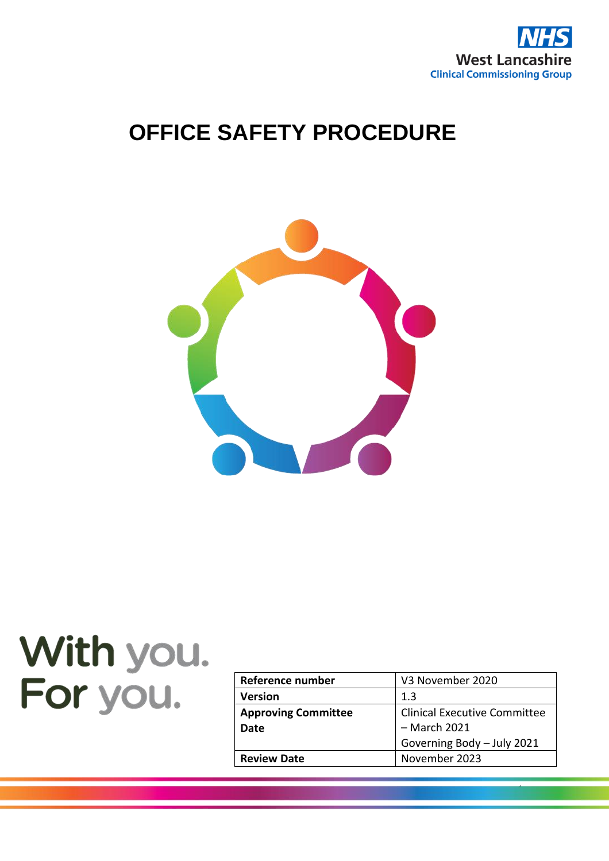

# **OFFICE SAFETY PROCEDURE**



# With you. For you.

| Reference number           | V3 November 2020                    |
|----------------------------|-------------------------------------|
| <b>Version</b>             | 1.3                                 |
| <b>Approving Committee</b> | <b>Clinical Executive Committee</b> |
| Date                       | - March 2021                        |
|                            | Governing Body - July 2021          |
| <b>Review Date</b>         | November 2023                       |

1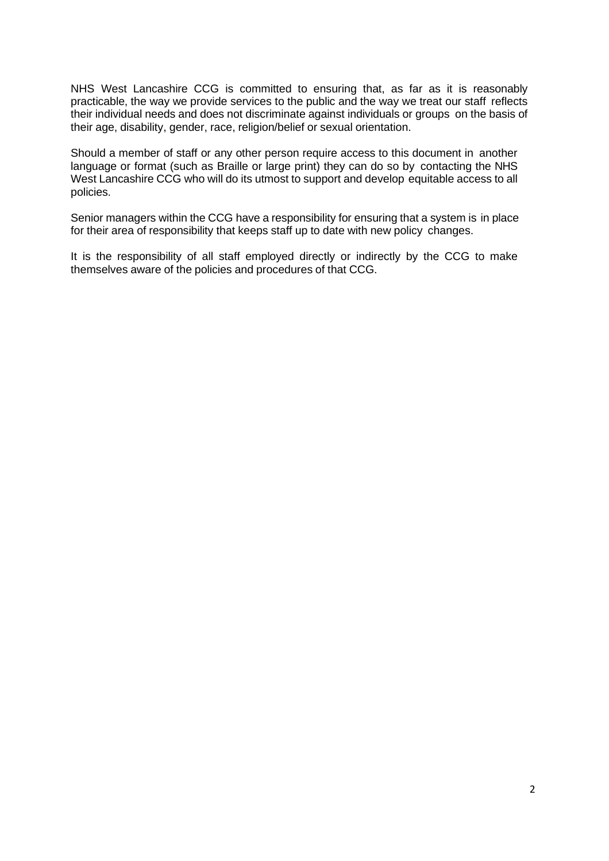NHS West Lancashire CCG is committed to ensuring that, as far as it is reasonably practicable, the way we provide services to the public and the way we treat our staff reflects their individual needs and does not discriminate against individuals or groups on the basis of their age, disability, gender, race, religion/belief or sexual orientation.

Should a member of staff or any other person require access to this document in another language or format (such as Braille or large print) they can do so by contacting the NHS West Lancashire CCG who will do its utmost to support and develop equitable access to all policies.

Senior managers within the CCG have a responsibility for ensuring that a system is in place for their area of responsibility that keeps staff up to date with new policy changes.

It is the responsibility of all staff employed directly or indirectly by the CCG to make themselves aware of the policies and procedures of that CCG.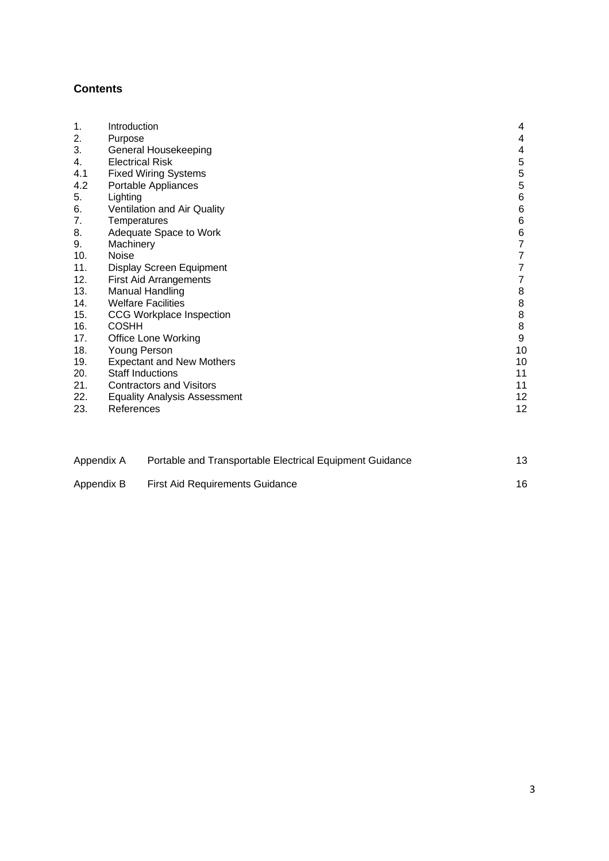# **Contents**

| 1.<br>2. | Introduction<br>Purpose             | 4<br>4                                |
|----------|-------------------------------------|---------------------------------------|
| 3.       | General Housekeeping                | 4                                     |
| 4.       | <b>Electrical Risk</b>              | 5                                     |
| 4.1      | <b>Fixed Wiring Systems</b>         | $\mathbf 5$                           |
| 4.2      | Portable Appliances                 | 5                                     |
| 5.       | Lighting                            | $\,6$                                 |
| 6.       | Ventilation and Air Quality         | $\,6$                                 |
| 7.       | Temperatures                        | $\,6$                                 |
| 8.       | Adequate Space to Work              | $\begin{array}{c} 6 \\ 7 \end{array}$ |
| 9.       | Machinery                           |                                       |
| 10.      | <b>Noise</b>                        | $\boldsymbol{7}$                      |
| 11.      | Display Screen Equipment            | $\overline{7}$                        |
| 12.      | <b>First Aid Arrangements</b>       | $\overline{7}$                        |
| 13.      | <b>Manual Handling</b>              | $\,$ 8 $\,$                           |
| 14.      | <b>Welfare Facilities</b>           | $\, 8$                                |
| 15.      | <b>CCG Workplace Inspection</b>     | $\bf8$                                |
| 16.      | <b>COSHH</b>                        | $\bf 8$                               |
| 17.      | <b>Office Lone Working</b>          | $\boldsymbol{9}$                      |
| 18.      | Young Person                        | 10                                    |
| 19.      | <b>Expectant and New Mothers</b>    | 10                                    |
| 20.      | <b>Staff Inductions</b>             | 11                                    |
| 21.      | <b>Contractors and Visitors</b>     | 11                                    |
| 22.      | <b>Equality Analysis Assessment</b> | 12                                    |
| 23.      | References                          | 12                                    |
|          |                                     |                                       |
|          |                                     |                                       |
|          |                                     |                                       |

| Appendix A | Portable and Transportable Electrical Equipment Guidance |    |
|------------|----------------------------------------------------------|----|
| Appendix B | <b>First Aid Requirements Guidance</b>                   | 16 |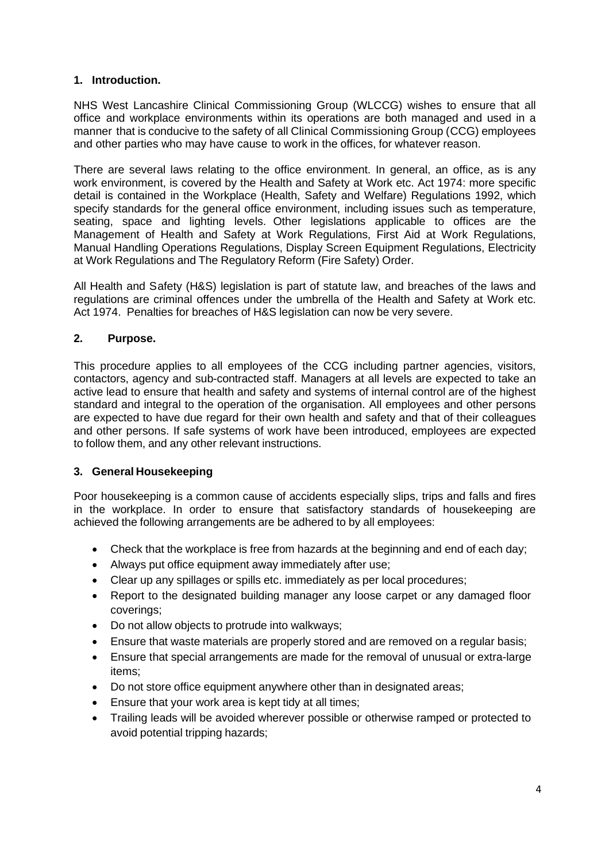#### **1. Introduction.**

NHS West Lancashire Clinical Commissioning Group (WLCCG) wishes to ensure that all office and workplace environments within its operations are both managed and used in a manner that is conducive to the safety of all Clinical Commissioning Group (CCG) employees and other parties who may have cause to work in the offices, for whatever reason.

There are several laws relating to the office environment. In general, an office, as is any work environment, is covered by the Health and Safety at Work etc. Act 1974: more specific detail is contained in the Workplace (Health, Safety and Welfare) Regulations 1992, which specify standards for the general office environment, including issues such as temperature, seating, space and lighting levels. Other legislations applicable to offices are the Management of Health and Safety at Work Regulations, First Aid at Work Regulations, Manual Handling Operations Regulations, Display Screen Equipment Regulations, Electricity at Work Regulations and The Regulatory Reform (Fire Safety) Order.

All Health and Safety (H&S) legislation is part of statute law, and breaches of the laws and regulations are criminal offences under the umbrella of the Health and Safety at Work etc. Act 1974. Penalties for breaches of H&S legislation can now be very severe.

#### **2. Purpose.**

This procedure applies to all employees of the CCG including partner agencies, visitors, contactors, agency and sub-contracted staff. Managers at all levels are expected to take an active lead to ensure that health and safety and systems of internal control are of the highest standard and integral to the operation of the organisation. All employees and other persons are expected to have due regard for their own health and safety and that of their colleagues and other persons. If safe systems of work have been introduced, employees are expected to follow them, and any other relevant instructions.

#### **3. General Housekeeping**

Poor housekeeping is a common cause of accidents especially slips, trips and falls and fires in the workplace. In order to ensure that satisfactory standards of housekeeping are achieved the following arrangements are be adhered to by all employees:

- Check that the workplace is free from hazards at the beginning and end of each day;
- Always put office equipment away immediately after use;
- Clear up any spillages or spills etc. immediately as per local procedures;
- Report to the designated building manager any loose carpet or any damaged floor coverings;
- Do not allow objects to protrude into walkways;
- Ensure that waste materials are properly stored and are removed on a regular basis;
- Ensure that special arrangements are made for the removal of unusual or extra-large items;
- Do not store office equipment anywhere other than in designated areas;
- Ensure that your work area is kept tidy at all times;
- Trailing leads will be avoided wherever possible or otherwise ramped or protected to avoid potential tripping hazards;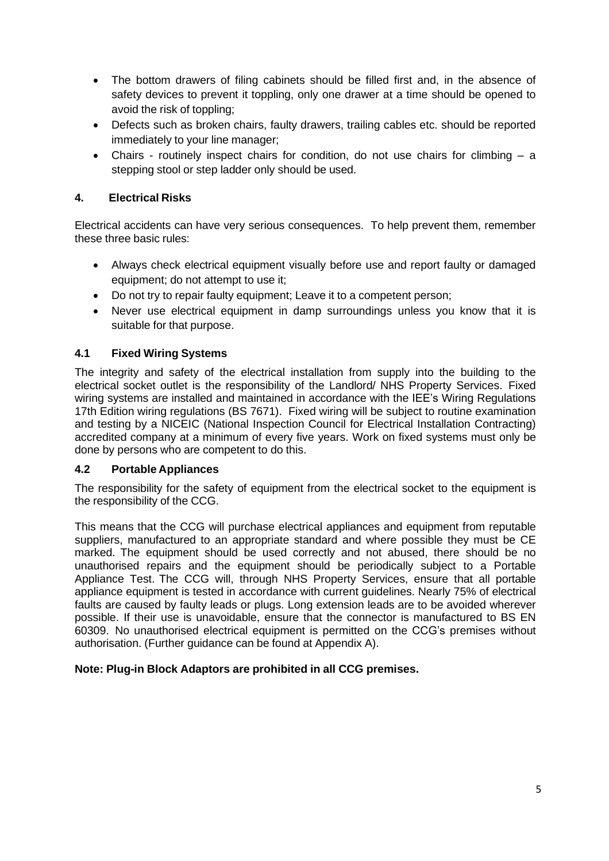- The bottom drawers of filing cabinets should be filled first and, in the absence of safety devices to prevent it toppling, only one drawer at a time should be opened to avoid the risk of toppling;
- Defects such as broken chairs, faulty drawers, trailing cables etc. should be reported immediately to your line manager;
- Chairs routinely inspect chairs for condition, do not use chairs for climbing a stepping stool or step ladder only should be used.

# **4. Electrical Risks**

Electrical accidents can have very serious consequences. To help prevent them, remember these three basic rules:

- Always check electrical equipment visually before use and report faulty or damaged equipment; do not attempt to use it;
- Do not try to repair faulty equipment; Leave it to a competent person;
- Never use electrical equipment in damp surroundings unless you know that it is suitable for that purpose.

# <span id="page-4-0"></span>**4.1 Fixed Wiring Systems**

The integrity and safety of the electrical installation from supply into the building to the electrical socket outlet is the responsibility of the Landlord/ NHS Property Services. Fixed wiring systems are installed and maintained in accordance with the IEE's Wiring Regulations 17th Edition wiring regulations (BS 7671). Fixed wiring will be subject to routine examination and testing by a NICEIC (National Inspection Council for Electrical Installation Contracting) accredited company at a minimum of every five years. Work on fixed systems must only be done by persons who are competent to do this.

# **4.2 Portable Appliances**

The responsibility for the safety of equipment from the electrical socket to the equipment is the responsibility of the CCG.

This means that the CCG will purchase electrical appliances and equipment from reputable suppliers, manufactured to an appropriate standard and where possible they must be CE marked. The equipment should be used correctly and not abused, there should be no unauthorised repairs and the equipment should be periodically subject to a Portable Appliance Test. The CCG will, through NHS Property Services, ensure that all portable appliance equipment is tested in accordance with current guidelines. Nearly 75% of electrical faults are caused by faulty leads or plugs. Long extension leads are to be avoided wherever possible. If their use is unavoidable, ensure that the connector is manufactured to BS EN 60309. No unauthorised electrical equipment is permitted on the CCG's premises without authorisation. (Further guidance can be found at Appendix A).

# **Note: Plug-in Block Adaptors are prohibited in all CCG premises.**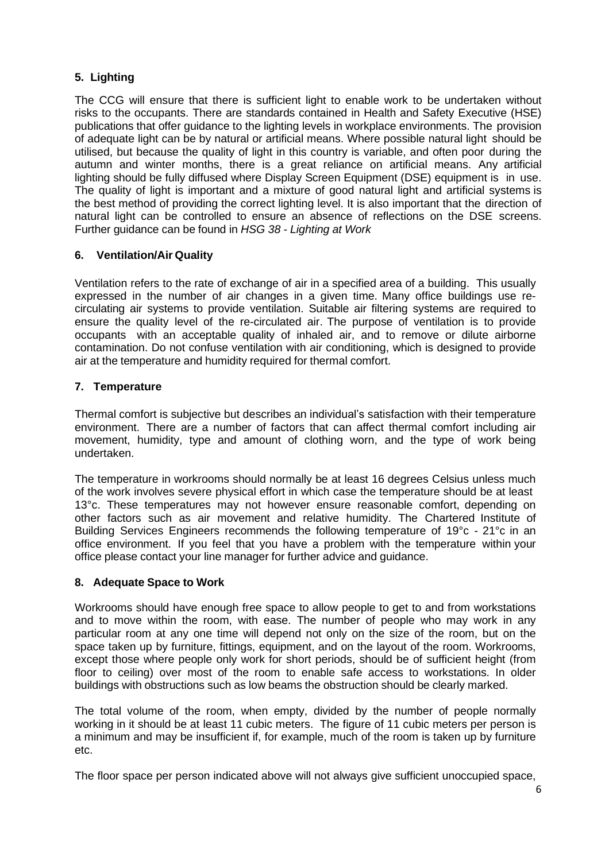# <span id="page-5-0"></span>**5. Lighting**

The CCG will ensure that there is sufficient light to enable work to be undertaken without risks to the occupants. There are standards contained in Health and Safety Executive (HSE) publications that offer guidance to the lighting levels in workplace environments. The provision of adequate light can be by natural or artificial means. Where possible natural light should be utilised, but because the quality of light in this country is variable, and often poor during the autumn and winter months, there is a great reliance on artificial means. Any artificial lighting should be fully diffused where Display Screen Equipment (DSE) equipment is in use. The quality of light is important and a mixture of good natural light and artificial systems is the best method of providing the correct lighting level. It is also important that the direction of natural light can be controlled to ensure an absence of reflections on the DSE screens. Further guidance can be found in *HSG 38 - Lighting at Work*

# **6. Ventilation/Air Quality**

Ventilation refers to the rate of exchange of air in a specified area of a building. This usually expressed in the number of air changes in a given time. Many office buildings use recirculating air systems to provide ventilation. Suitable air filtering systems are required to ensure the quality level of the re-circulated air. The purpose of ventilation is to provide occupants with an acceptable quality of inhaled air, and to remove or dilute airborne contamination. Do not confuse ventilation with air conditioning, which is designed to provide air at the temperature and humidity required for thermal comfort.

# **7. Temperature**

Thermal comfort is subjective but describes an individual's satisfaction with their temperature environment. There are a number of factors that can affect thermal comfort including air movement, humidity, type and amount of clothing worn, and the type of work being undertaken.

The temperature in workrooms should normally be at least 16 degrees Celsius unless much of the work involves severe physical effort in which case the temperature should be at least 13<sup>°</sup>c. These temperatures may not however ensure reasonable comfort, depending on other factors such as air movement and relative humidity. The Chartered Institute of Building Services Engineers recommends the following temperature of 19°c - 21°c in an office environment. If you feel that you have a problem with the temperature within your office please contact your line manager for further advice and guidance.

# **8. Adequate Space to Work**

Workrooms should have enough free space to allow people to get to and from workstations and to move within the room, with ease. The number of people who may work in any particular room at any one time will depend not only on the size of the room, but on the space taken up by furniture, fittings, equipment, and on the layout of the room. Workrooms, except those where people only work for short periods, should be of sufficient height (from floor to ceiling) over most of the room to enable safe access to workstations. In older buildings with obstructions such as low beams the obstruction should be clearly marked.

The total volume of the room, when empty, divided by the number of people normally working in it should be at least 11 cubic meters. The figure of 11 cubic meters per person is a minimum and may be insufficient if, for example, much of the room is taken up by furniture etc.

The floor space per person indicated above will not always give sufficient unoccupied space,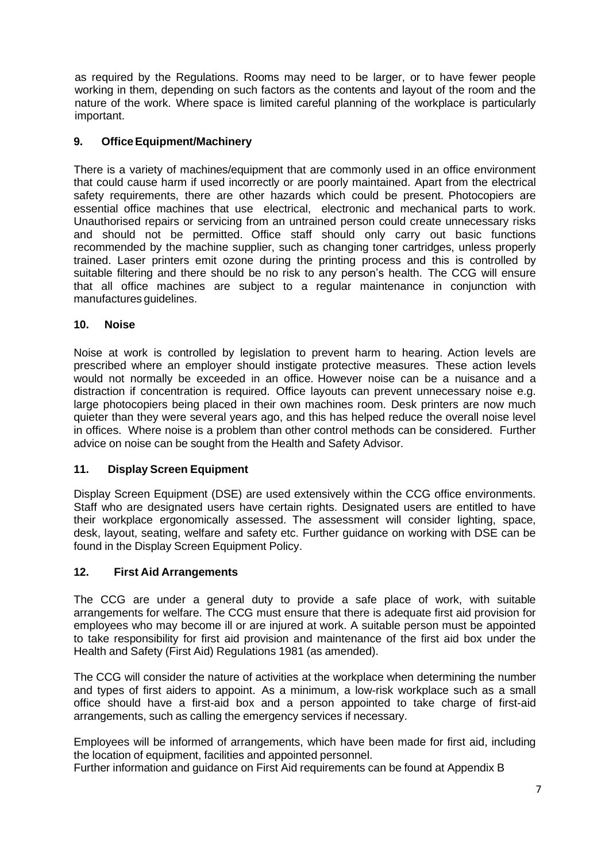as required by the Regulations. Rooms may need to be larger, or to have fewer people working in them, depending on such factors as the contents and layout of the room and the nature of the work. Where space is limited careful planning of the workplace is particularly important.

# **9. OfficeEquipment/Machinery**

There is a variety of machines/equipment that are commonly used in an office environment that could cause harm if used incorrectly or are poorly maintained. Apart from the electrical safety requirements, there are other hazards which could be present. Photocopiers are essential office machines that use electrical, electronic and mechanical parts to work. Unauthorised repairs or servicing from an untrained person could create unnecessary risks and should not be permitted. Office staff should only carry out basic functions recommended by the machine supplier, such as changing toner cartridges, unless properly trained. Laser printers emit ozone during the printing process and this is controlled by suitable filtering and there should be no risk to any person's health. The CCG will ensure that all office machines are subject to a regular maintenance in conjunction with manufactures guidelines.

#### **10. Noise**

Noise at work is controlled by legislation to prevent harm to hearing. Action levels are prescribed where an employer should instigate protective measures. These action levels would not normally be exceeded in an office. However noise can be a nuisance and a distraction if concentration is required. Office layouts can prevent unnecessary noise e.g. large photocopiers being placed in their own machines room. Desk printers are now much quieter than they were several years ago, and this has helped reduce the overall noise level in offices. Where noise is a problem than other control methods can be considered. Further advice on noise can be sought from the Health and Safety Advisor.

# **11. Display Screen Equipment**

Display Screen Equipment (DSE) are used extensively within the CCG office environments. Staff who are designated users have certain rights. Designated users are entitled to have their workplace ergonomically assessed. The assessment will consider lighting, space, desk, layout, seating, welfare and safety etc. Further guidance on working with DSE can be found in the Display Screen Equipment Policy.

# **12. First Aid Arrangements**

The CCG are under a general duty to provide a safe place of work, with suitable arrangements for welfare. The CCG must ensure that there is adequate first aid provision for employees who may become ill or are injured at work. A suitable person must be appointed to take responsibility for first aid provision and maintenance of the first aid box under the Health and Safety (First Aid) Regulations 1981 (as amended).

The CCG will consider the nature of activities at the workplace when determining the number and types of first aiders to appoint. As a minimum, a low-risk workplace such as a small office should have a first-aid box and a person appointed to take charge of first-aid arrangements, such as calling the emergency services if necessary.

Employees will be informed of arrangements, which have been made for first aid, including the location of equipment, facilities and appointed personnel.

Further information and guidance on First Aid requirements can be found at Appendix B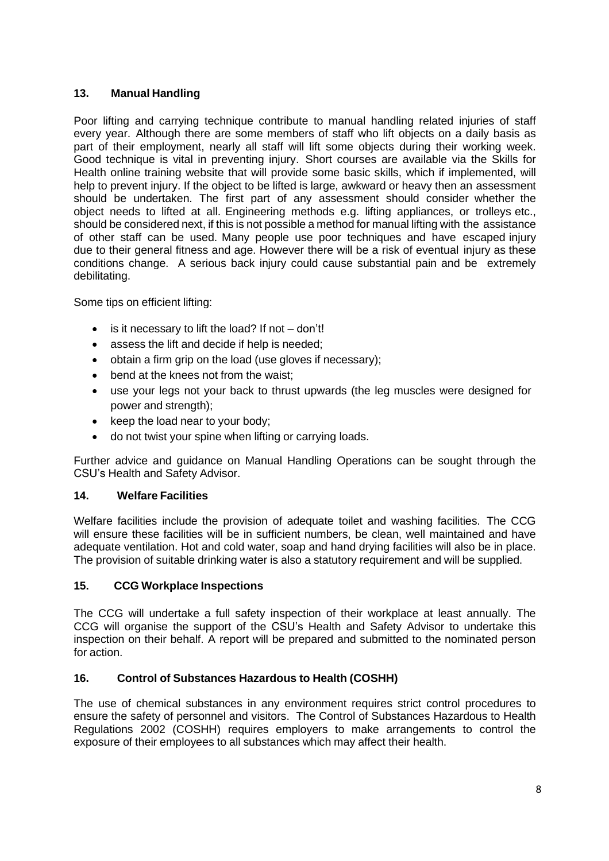# **13. Manual Handling**

Poor lifting and carrying technique contribute to manual handling related injuries of staff every year. Although there are some members of staff who lift objects on a daily basis as part of their employment, nearly all staff will lift some objects during their working week. Good technique is vital in preventing injury. Short courses are available via the Skills for Health online training website that will provide some basic skills, which if implemented, will help to prevent injury. If the object to be lifted is large, awkward or heavy then an assessment should be undertaken. The first part of any assessment should consider whether the object needs to lifted at all. Engineering methods e.g. lifting appliances, or trolleys etc., should be considered next, if this is not possible a method for manual lifting with the assistance of other staff can be used. Many people use poor techniques and have escaped injury due to their general fitness and age. However there will be a risk of eventual injury as these conditions change. A serious back injury could cause substantial pain and be extremely debilitating.

Some tips on efficient lifting:

- is it necessary to lift the load? If not don't!
- assess the lift and decide if help is needed;
- obtain a firm grip on the load (use gloves if necessary);
- bend at the knees not from the waist;
- use your legs not your back to thrust upwards (the leg muscles were designed for power and strength);
- keep the load near to your body;
- do not twist your spine when lifting or carrying loads.

Further advice and guidance on Manual Handling Operations can be sought through the CSU's Health and Safety Advisor.

# **14. Welfare Facilities**

Welfare facilities include the provision of adequate toilet and washing facilities. The CCG will ensure these facilities will be in sufficient numbers, be clean, well maintained and have adequate ventilation. Hot and cold water, soap and hand drying facilities will also be in place. The provision of suitable drinking water is also a statutory requirement and will be supplied.

# **15. CCG Workplace Inspections**

The CCG will undertake a full safety inspection of their workplace at least annually. The CCG will organise the support of the CSU's Health and Safety Advisor to undertake this inspection on their behalf. A report will be prepared and submitted to the nominated person for action.

# **16. Control of Substances Hazardous to Health (COSHH)**

The use of chemical substances in any environment requires strict control procedures to ensure the safety of personnel and visitors. The Control of Substances Hazardous to Health Regulations 2002 (COSHH) requires employers to make arrangements to control the exposure of their employees to all substances which may affect their health.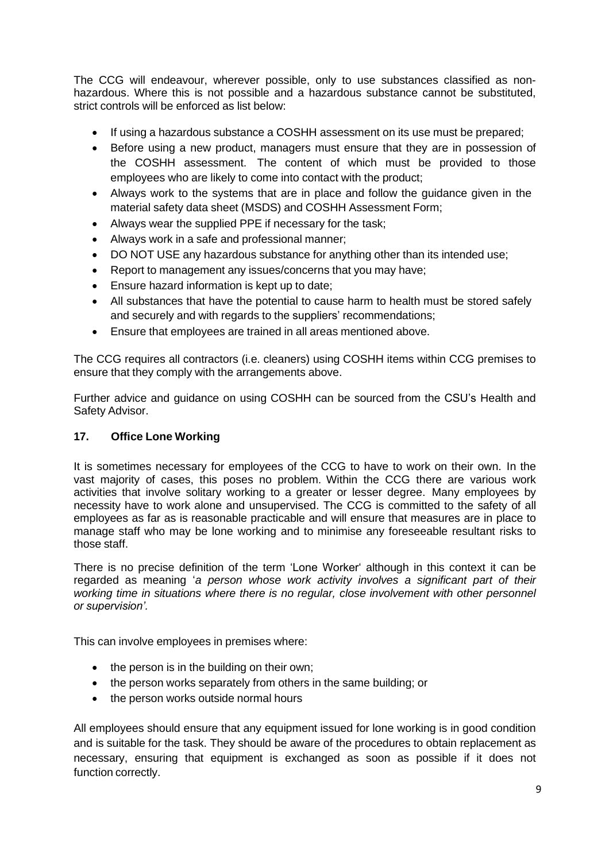The CCG will endeavour, wherever possible, only to use substances classified as nonhazardous. Where this is not possible and a hazardous substance cannot be substituted, strict controls will be enforced as list below:

- If using a hazardous substance a COSHH assessment on its use must be prepared;
- Before using a new product, managers must ensure that they are in possession of the COSHH assessment. The content of which must be provided to those employees who are likely to come into contact with the product;
- Always work to the systems that are in place and follow the guidance given in the material safety data sheet (MSDS) and COSHH Assessment Form;
- Always wear the supplied PPE if necessary for the task;
- Always work in a safe and professional manner;
- DO NOT USE any hazardous substance for anything other than its intended use;
- Report to management any issues/concerns that you may have;
- Ensure hazard information is kept up to date;
- All substances that have the potential to cause harm to health must be stored safely and securely and with regards to the suppliers' recommendations;
- Ensure that employees are trained in all areas mentioned above.

The CCG requires all contractors (i.e. cleaners) using COSHH items within CCG premises to ensure that they comply with the arrangements above.

Further advice and guidance on using COSHH can be sourced from the CSU's Health and Safety Advisor.

#### **17. Office Lone Working**

It is sometimes necessary for employees of the CCG to have to work on their own. In the vast majority of cases, this poses no problem. Within the CCG there are various work activities that involve solitary working to a greater or lesser degree. Many employees by necessity have to work alone and unsupervised. The CCG is committed to the safety of all employees as far as is reasonable practicable and will ensure that measures are in place to manage staff who may be lone working and to minimise any foreseeable resultant risks to those staff.

There is no precise definition of the term 'Lone Worker' although in this context it can be regarded as meaning '*a person whose work activity involves a significant part of their working time in situations where there is no regular, close involvement with other personnel or supervision'.*

This can involve employees in premises where:

- the person is in the building on their own;
- the person works separately from others in the same building; or
- the person works outside normal hours

All employees should ensure that any equipment issued for lone working is in good condition and is suitable for the task. They should be aware of the procedures to obtain replacement as necessary, ensuring that equipment is exchanged as soon as possible if it does not function correctly.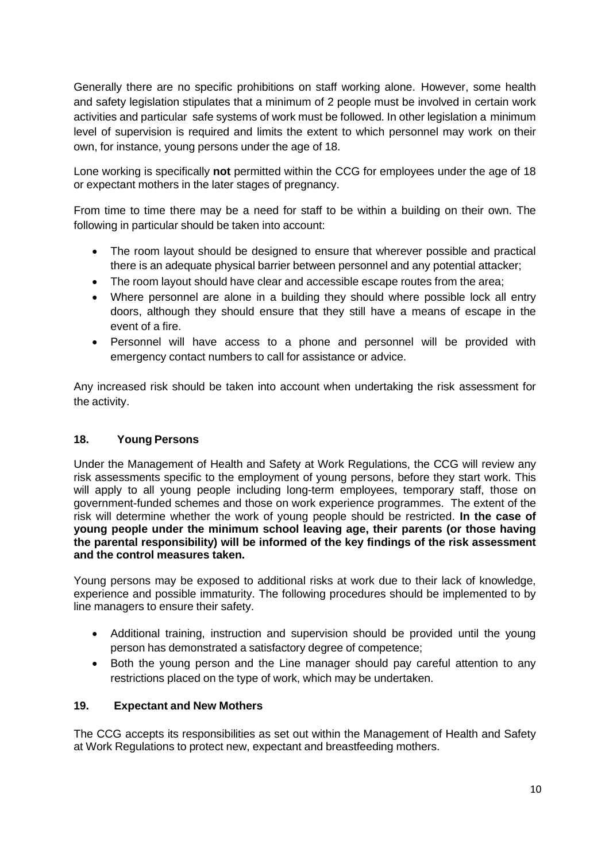Generally there are no specific prohibitions on staff working alone. However, some health and safety legislation stipulates that a minimum of 2 people must be involved in certain work activities and particular safe systems of work must be followed. In other legislation a minimum level of supervision is required and limits the extent to which personnel may work on their own, for instance, young persons under the age of 18.

Lone working is specifically **not** permitted within the CCG for employees under the age of 18 or expectant mothers in the later stages of pregnancy.

From time to time there may be a need for staff to be within a building on their own. The following in particular should be taken into account:

- The room layout should be designed to ensure that wherever possible and practical there is an adequate physical barrier between personnel and any potential attacker;
- The room layout should have clear and accessible escape routes from the area;
- Where personnel are alone in a building they should where possible lock all entry doors, although they should ensure that they still have a means of escape in the event of a fire.
- Personnel will have access to a phone and personnel will be provided with emergency contact numbers to call for assistance or advice.

Any increased risk should be taken into account when undertaking the risk assessment for the activity.

# **18. Young Persons**

Under the Management of Health and Safety at Work Regulations, the CCG will review any risk assessments specific to the employment of young persons, before they start work. This will apply to all young people including long-term employees, temporary staff, those on government-funded schemes and those on work experience programmes. The extent of the risk will determine whether the work of young people should be restricted. **In the case of young people under the minimum school leaving age, their parents (or those having the parental responsibility) will be informed of the key findings of the risk assessment and the control measures taken.**

Young persons may be exposed to additional risks at work due to their lack of knowledge, experience and possible immaturity. The following procedures should be implemented to by line managers to ensure their safety.

- Additional training, instruction and supervision should be provided until the young person has demonstrated a satisfactory degree of competence;
- Both the young person and the Line manager should pay careful attention to any restrictions placed on the type of work, which may be undertaken.

#### **19. Expectant and New Mothers**

The CCG accepts its responsibilities as set out within the Management of Health and Safety at Work Regulations to protect new, expectant and breastfeeding mothers.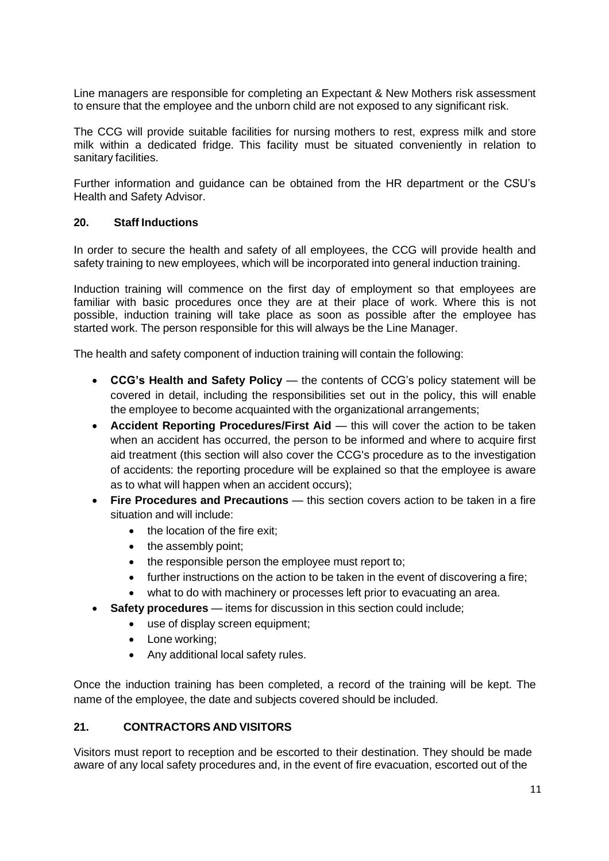Line managers are responsible for completing an Expectant & New Mothers risk assessment to ensure that the employee and the unborn child are not exposed to any significant risk.

The CCG will provide suitable facilities for nursing mothers to rest, express milk and store milk within a dedicated fridge. This facility must be situated conveniently in relation to sanitary facilities.

Further information and guidance can be obtained from the HR department or the CSU's Health and Safety Advisor.

#### **20. Staff Inductions**

In order to secure the health and safety of all employees, the CCG will provide health and safety training to new employees, which will be incorporated into general induction training.

Induction training will commence on the first day of employment so that employees are familiar with basic procedures once they are at their place of work. Where this is not possible, induction training will take place as soon as possible after the employee has started work. The person responsible for this will always be the Line Manager.

The health and safety component of induction training will contain the following:

- **CCG's Health and Safety Policy** the contents of CCG's policy statement will be covered in detail, including the responsibilities set out in the policy, this will enable the employee to become acquainted with the organizational arrangements;
- **Accident Reporting Procedures/First Aid** this will cover the action to be taken when an accident has occurred, the person to be informed and where to acquire first aid treatment (this section will also cover the CCG's procedure as to the investigation of accidents: the reporting procedure will be explained so that the employee is aware as to what will happen when an accident occurs);
- **Fire Procedures and Precautions** this section covers action to be taken in a fire situation and will include:
	- the location of the fire exit;
	- the assembly point;
	- the responsible person the employee must report to;
	- further instructions on the action to be taken in the event of discovering a fire;
	- what to do with machinery or processes left prior to evacuating an area.
- **Safety procedures** items for discussion in this section could include;
	- use of display screen equipment;
		- Lone working;
		- Any additional local safety rules.

Once the induction training has been completed, a record of the training will be kept. The name of the employee, the date and subjects covered should be included.

#### **21. CONTRACTORS AND VISITORS**

Visitors must report to reception and be escorted to their destination. They should be made aware of any local safety procedures and, in the event of fire evacuation, escorted out of the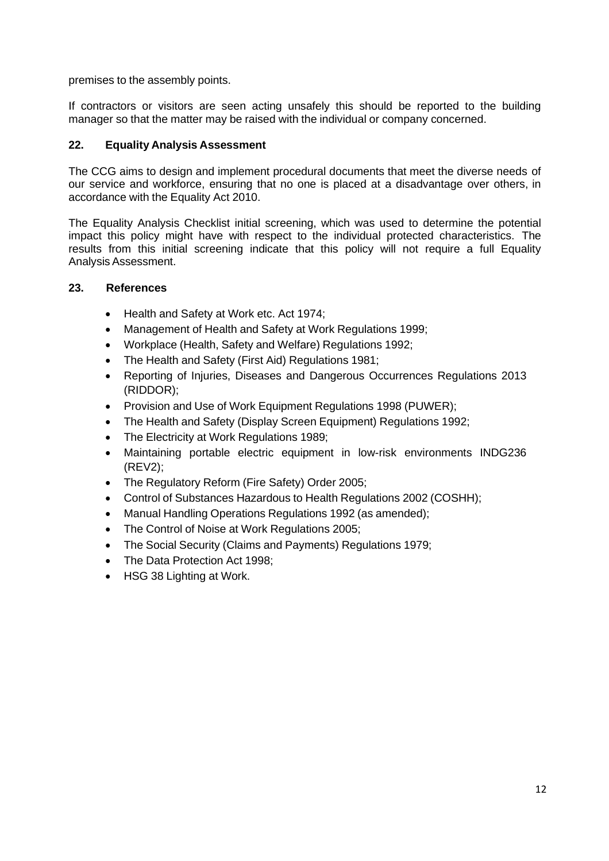premises to the assembly points.

If contractors or visitors are seen acting unsafely this should be reported to the building manager so that the matter may be raised with the individual or company concerned.

#### **22. Equality Analysis Assessment**

The CCG aims to design and implement procedural documents that meet the diverse needs of our service and workforce, ensuring that no one is placed at a disadvantage over others, in accordance with the Equality Act 2010.

The Equality Analysis Checklist initial screening, which was used to determine the potential impact this policy might have with respect to the individual protected characteristics. The results from this initial screening indicate that this policy will not require a full Equality Analysis Assessment.

#### **23. References**

- Health and Safety at Work etc. Act 1974;
- Management of Health and Safety at Work Regulations 1999;
- Workplace (Health, Safety and Welfare) Regulations 1992;
- The Health and Safety (First Aid) Regulations 1981;
- Reporting of Injuries, Diseases and Dangerous Occurrences Regulations 2013 (RIDDOR);
- Provision and Use of Work Equipment Regulations 1998 (PUWER);
- The Health and Safety (Display Screen Equipment) Regulations 1992;
- The Electricity at Work Regulations 1989;
- Maintaining portable electric equipment in low-risk environments INDG236 (REV2);
- The Regulatory Reform (Fire Safety) Order 2005;
- Control of Substances Hazardous to Health Regulations 2002 (COSHH);
- Manual Handling Operations Regulations 1992 (as amended);
- The Control of Noise at Work Regulations 2005;
- The Social Security (Claims and Payments) Regulations 1979;
- The Data Protection Act 1998;
- HSG 38 Lighting at Work.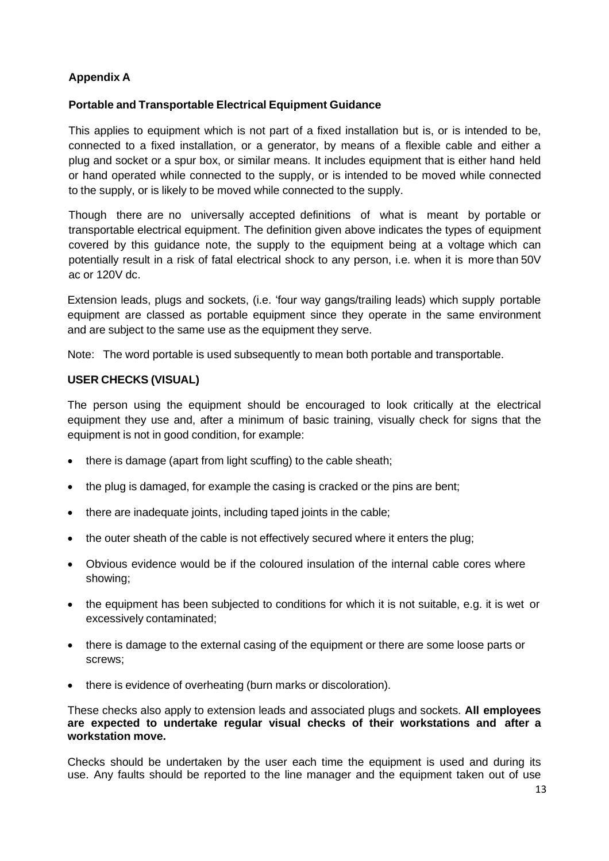# **Appendix A**

#### **Portable and Transportable Electrical Equipment Guidance**

This applies to equipment which is not part of a fixed installation but is, or is intended to be, connected to a fixed installation, or a generator, by means of a flexible cable and either a plug and socket or a spur box, or similar means. It includes equipment that is either hand held or hand operated while connected to the supply, or is intended to be moved while connected to the supply, or is likely to be moved while connected to the supply.

Though there are no universally accepted definitions of what is meant by portable or transportable electrical equipment. The definition given above indicates the types of equipment covered by this guidance note, the supply to the equipment being at a voltage which can potentially result in a risk of fatal electrical shock to any person, i.e. when it is more than 50V ac or 120V dc.

Extension leads, plugs and sockets, (i.e. 'four way gangs/trailing leads) which supply portable equipment are classed as portable equipment since they operate in the same environment and are subject to the same use as the equipment they serve.

Note: The word portable is used subsequently to mean both portable and transportable.

#### **USER CHECKS (VISUAL)**

The person using the equipment should be encouraged to look critically at the electrical equipment they use and, after a minimum of basic training, visually check for signs that the equipment is not in good condition, for example:

- there is damage (apart from light scuffing) to the cable sheath;
- the plug is damaged, for example the casing is cracked or the pins are bent;
- there are inadequate joints, including taped joints in the cable;
- the outer sheath of the cable is not effectively secured where it enters the plug;
- Obvious evidence would be if the coloured insulation of the internal cable cores where showing;
- the equipment has been subjected to conditions for which it is not suitable, e.g. it is wet or excessively contaminated;
- there is damage to the external casing of the equipment or there are some loose parts or screws;
- there is evidence of overheating (burn marks or discoloration).

These checks also apply to extension leads and associated plugs and sockets. **All employees are expected to undertake regular visual checks of their workstations and after a workstation move.**

Checks should be undertaken by the user each time the equipment is used and during its use. Any faults should be reported to the line manager and the equipment taken out of use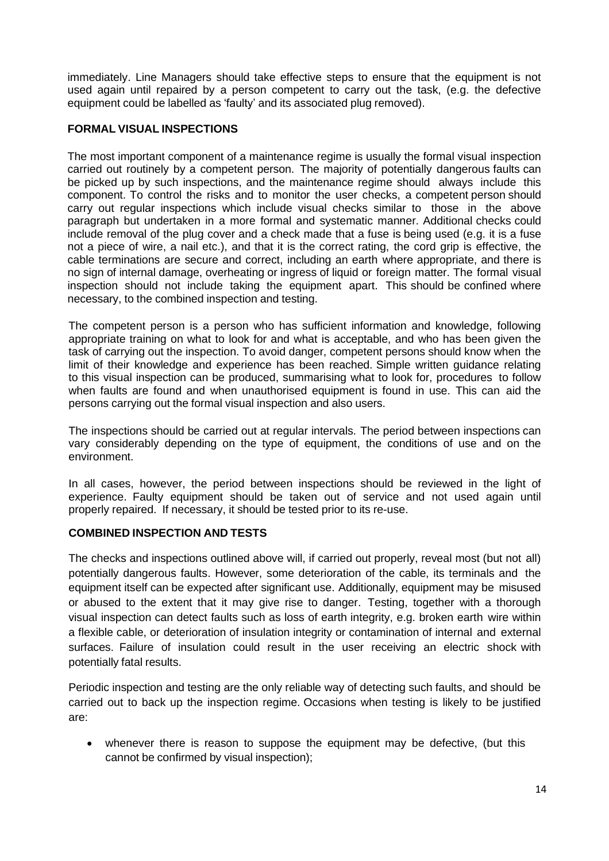immediately. Line Managers should take effective steps to ensure that the equipment is not used again until repaired by a person competent to carry out the task, (e.g. the defective equipment could be labelled as 'faulty' and its associated plug removed).

#### **FORMAL VISUAL INSPECTIONS**

The most important component of a maintenance regime is usually the formal visual inspection carried out routinely by a competent person. The majority of potentially dangerous faults can be picked up by such inspections, and the maintenance regime should always include this component. To control the risks and to monitor the user checks, a competent person should carry out regular inspections which include visual checks similar to those in the above paragraph but undertaken in a more formal and systematic manner. Additional checks could include removal of the plug cover and a check made that a fuse is being used (e.g. it is a fuse not a piece of wire, a nail etc.), and that it is the correct rating, the cord grip is effective, the cable terminations are secure and correct, including an earth where appropriate, and there is no sign of internal damage, overheating or ingress of liquid or foreign matter. The formal visual inspection should not include taking the equipment apart. This should be confined where necessary, to the combined inspection and testing.

The competent person is a person who has sufficient information and knowledge, following appropriate training on what to look for and what is acceptable, and who has been given the task of carrying out the inspection. To avoid danger, competent persons should know when the limit of their knowledge and experience has been reached. Simple written guidance relating to this visual inspection can be produced, summarising what to look for, procedures to follow when faults are found and when unauthorised equipment is found in use. This can aid the persons carrying out the formal visual inspection and also users.

The inspections should be carried out at regular intervals. The period between inspections can vary considerably depending on the type of equipment, the conditions of use and on the environment.

In all cases, however, the period between inspections should be reviewed in the light of experience. Faulty equipment should be taken out of service and not used again until properly repaired. If necessary, it should be tested prior to its re-use.

# **COMBINED INSPECTION AND TESTS**

The checks and inspections outlined above will, if carried out properly, reveal most (but not all) potentially dangerous faults. However, some deterioration of the cable, its terminals and the equipment itself can be expected after significant use. Additionally, equipment may be misused or abused to the extent that it may give rise to danger. Testing, together with a thorough visual inspection can detect faults such as loss of earth integrity, e.g. broken earth wire within a flexible cable, or deterioration of insulation integrity or contamination of internal and external surfaces. Failure of insulation could result in the user receiving an electric shock with potentially fatal results.

Periodic inspection and testing are the only reliable way of detecting such faults, and should be carried out to back up the inspection regime. Occasions when testing is likely to be justified are:

• whenever there is reason to suppose the equipment may be defective, (but this cannot be confirmed by visual inspection);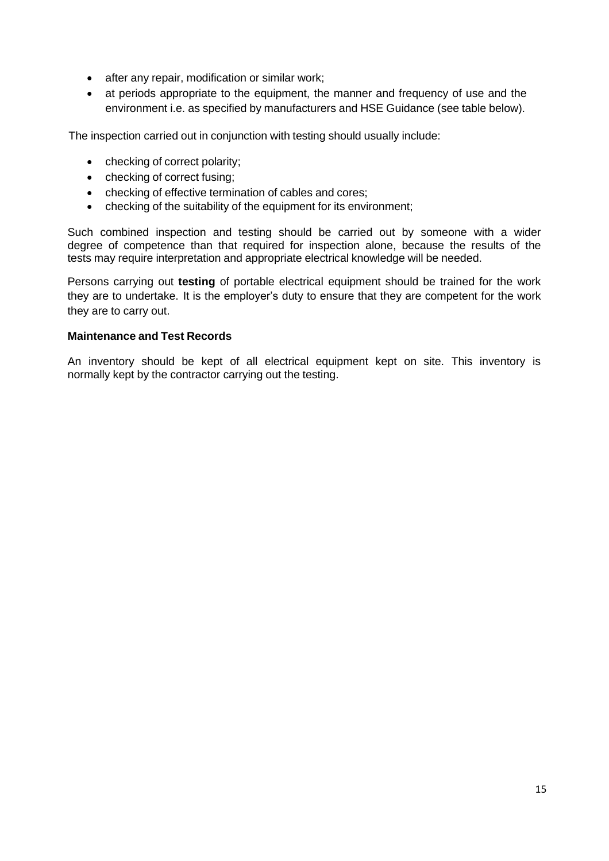- after any repair, modification or similar work;
- at periods appropriate to the equipment, the manner and frequency of use and the environment i.e. as specified by manufacturers and HSE Guidance (see table below).

The inspection carried out in conjunction with testing should usually include:

- checking of correct polarity;
- checking of correct fusing;
- checking of effective termination of cables and cores;
- checking of the suitability of the equipment for its environment;

Such combined inspection and testing should be carried out by someone with a wider degree of competence than that required for inspection alone, because the results of the tests may require interpretation and appropriate electrical knowledge will be needed.

Persons carrying out **testing** of portable electrical equipment should be trained for the work they are to undertake. It is the employer's duty to ensure that they are competent for the work they are to carry out.

#### **Maintenance and Test Records**

An inventory should be kept of all electrical equipment kept on site. This inventory is normally kept by the contractor carrying out the testing.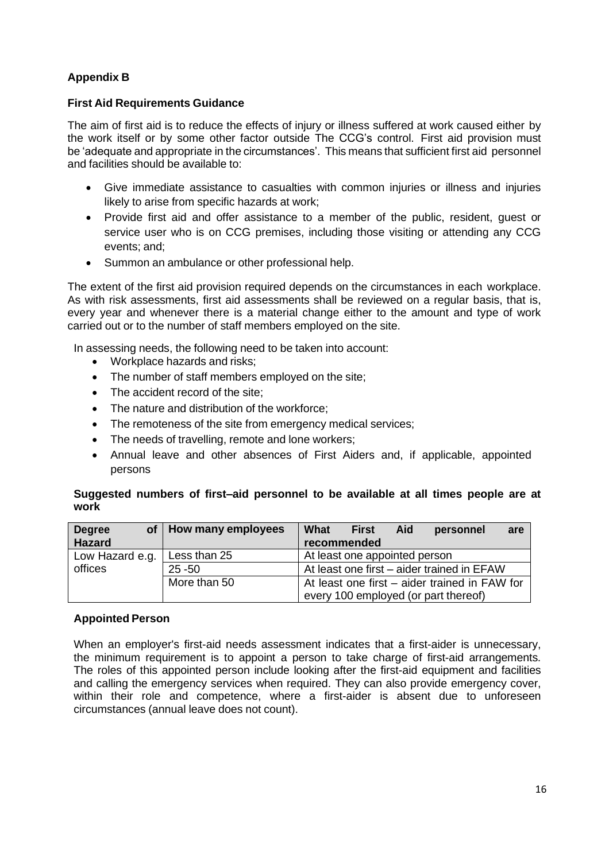# **Appendix B**

#### **First Aid Requirements Guidance**

The aim of first aid is to reduce the effects of injury or illness suffered at work caused either by the work itself or by some other factor outside The CCG's control. First aid provision must be 'adequate and appropriate in the circumstances'. This means that sufficient first aid personnel and facilities should be available to:

- Give immediate assistance to casualties with common injuries or illness and injuries likely to arise from specific hazards at work;
- Provide first aid and offer assistance to a member of the public, resident, guest or service user who is on CCG premises, including those visiting or attending any CCG events; and;
- Summon an ambulance or other professional help.

The extent of the first aid provision required depends on the circumstances in each workplace. As with risk assessments, first aid assessments shall be reviewed on a regular basis, that is, every year and whenever there is a material change either to the amount and type of work carried out or to the number of staff members employed on the site.

In assessing needs, the following need to be taken into account:

- Workplace hazards and risks;
- The number of staff members employed on the site;
- The accident record of the site;
- The nature and distribution of the workforce;
- The remoteness of the site from emergency medical services;
- The needs of travelling, remote and lone workers;
- Annual leave and other absences of First Aiders and, if applicable, appointed persons

#### **Suggested numbers of first–aid personnel to be available at all times people are at work**

| <b>Degree</b><br><b>Hazard</b>                          | of   How many employees | What<br><b>First</b><br>Aid<br>personnel<br>are<br>recommended |
|---------------------------------------------------------|-------------------------|----------------------------------------------------------------|
| Less than 25<br>Low Hazard e.g.<br>offices<br>$25 - 50$ |                         | At least one appointed person                                  |
|                                                         |                         | At least one first – aider trained in EFAW                     |
|                                                         | More than 50            | At least one first – aider trained in FAW for                  |
|                                                         |                         | every 100 employed (or part thereof)                           |

#### **Appointed Person**

When an employer's first-aid needs assessment indicates that a first-aider is unnecessary, the minimum requirement is to appoint a person to take charge of first-aid arrangements. The roles of this appointed person include looking after the first-aid equipment and facilities and calling the emergency services when required. They can also provide emergency cover, within their role and competence, where a first-aider is absent due to unforeseen circumstances (annual leave does not count).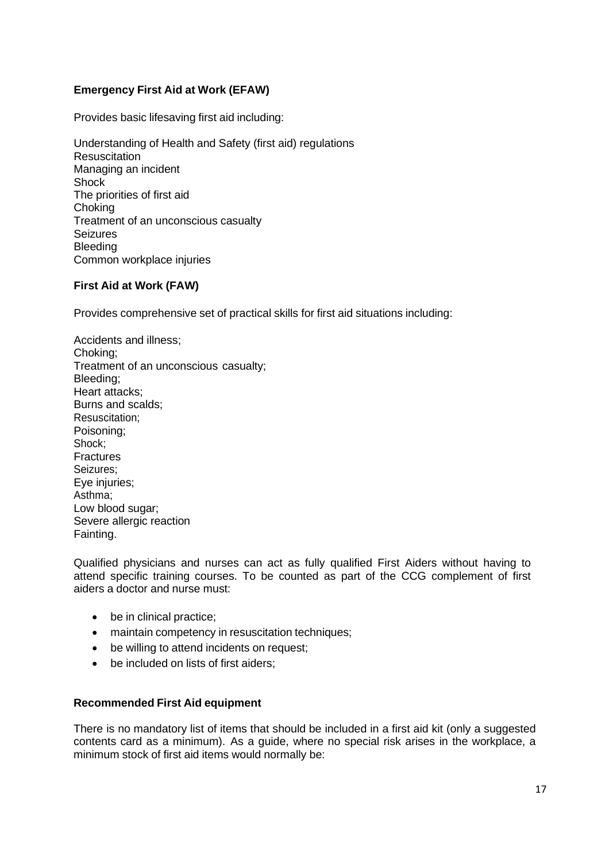# **Emergency First Aid at Work (EFAW)**

Provides basic lifesaving first aid including:

Understanding of Health and Safety (first aid) regulations **Resuscitation** Managing an incident Shock The priorities of first aid **Choking** Treatment of an unconscious casualty **Seizures** Bleeding Common workplace injuries

#### **First Aid at Work (FAW)**

Provides comprehensive set of practical skills for first aid situations including:

Accidents and illness; Choking; Treatment of an unconscious casualty; Bleeding; Heart attacks; Burns and scalds; Resuscitation; Poisoning; Shock; **Fractures** Seizures; Eye injuries; Asthma; Low blood sugar; Severe allergic reaction Fainting.

Qualified physicians and nurses can act as fully qualified First Aiders without having to attend specific training courses. To be counted as part of the CCG complement of first aiders a doctor and nurse must:

- be in clinical practice;
- maintain competency in resuscitation techniques;
- be willing to attend incidents on request;
- be included on lists of first aiders:

#### **Recommended First Aid equipment**

There is no mandatory list of items that should be included in a first aid kit (only a suggested contents card as a minimum). As a guide, where no special risk arises in the workplace, a minimum stock of first aid items would normally be: